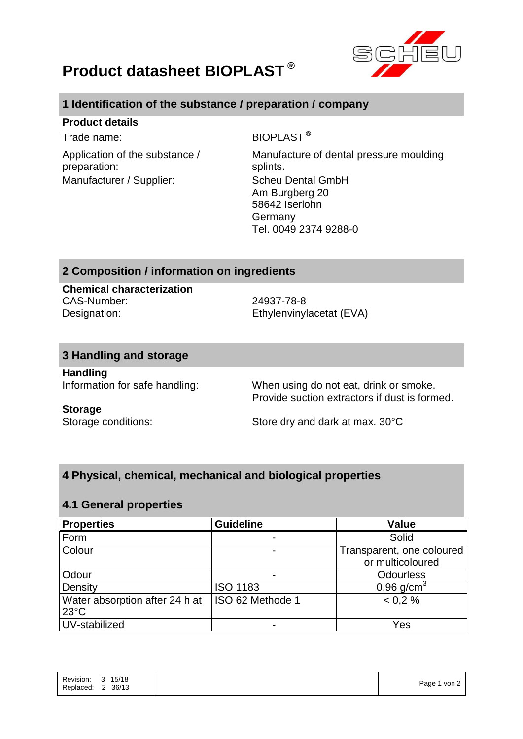

# **Product datasheet BIOPLAST ®**

# **1 Identification of the substance / preparation / company**

## **Product details**

Application of the substance / preparation: Manufacturer / Supplier: Scheu Dental GmbH

Trade name: BIOPLAST<sup>®</sup>

Manufacture of dental pressure moulding splints. Am Burgberg 20 58642 Iserlohn Germany Tel. 0049 2374 9288-0

# **2 Composition / information on ingredients**

**Chemical characterization** CAS-Number: 24937-78-8 Designation: Ethylenvinylacetat (EVA)

## **3 Handling and storage**

**Handling**

Information for safe handling: When using do not eat, drink or smoke. Provide suction extractors if dust is formed.

#### **Storage**

Storage conditions: Store dry and dark at max. 30°C

# **4 Physical, chemical, mechanical and biological properties**

## **4.1 General properties**

| <b>Properties</b>              | <b>Guideline</b> | <b>Value</b>              |
|--------------------------------|------------------|---------------------------|
| Form                           |                  | Solid                     |
| Colour                         |                  | Transparent, one coloured |
|                                |                  | or multicoloured          |
| Odour                          |                  | <b>Odourless</b>          |
| Density                        | <b>ISO 1183</b>  | 0,96 $q/cm^{3}$           |
| Water absorption after 24 h at | ISO 62 Methode 1 | < 0.2 %                   |
| $23^{\circ}$ C                 |                  |                           |
| UV-stabilized                  |                  | Yes                       |

| Revision:<br>15/18<br>- 3<br>36/13<br>Replaced:<br>$\sim$<br>∠ | $1$ von $2$<br>Page 1 |
|----------------------------------------------------------------|-----------------------|
|----------------------------------------------------------------|-----------------------|